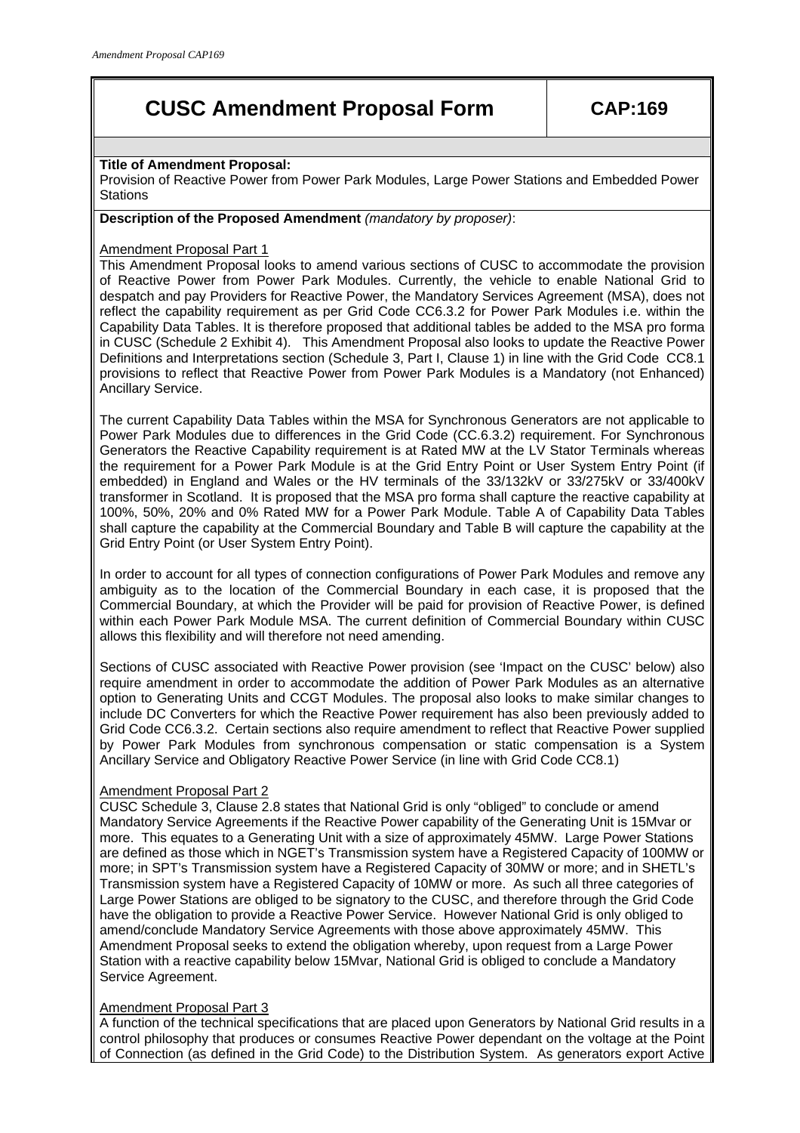# **CUSC Amendment Proposal Form CAP:169**

# **Title of Amendment Proposal:**

Provision of Reactive Power from Power Park Modules, Large Power Stations and Embedded Power **Stations** 

# **Description of the Proposed Amendment** *(mandatory by proposer)*:

#### Amendment Proposal Part 1

This Amendment Proposal looks to amend various sections of CUSC to accommodate the provision of Reactive Power from Power Park Modules. Currently, the vehicle to enable National Grid to despatch and pay Providers for Reactive Power, the Mandatory Services Agreement (MSA), does not reflect the capability requirement as per Grid Code CC6.3.2 for Power Park Modules i.e. within the Capability Data Tables. It is therefore proposed that additional tables be added to the MSA pro forma in CUSC (Schedule 2 Exhibit 4). This Amendment Proposal also looks to update the Reactive Power Definitions and Interpretations section (Schedule 3, Part I, Clause 1) in line with the Grid Code CC8.1 provisions to reflect that Reactive Power from Power Park Modules is a Mandatory (not Enhanced) Ancillary Service.

The current Capability Data Tables within the MSA for Synchronous Generators are not applicable to Power Park Modules due to differences in the Grid Code (CC.6.3.2) requirement. For Synchronous Generators the Reactive Capability requirement is at Rated MW at the LV Stator Terminals whereas the requirement for a Power Park Module is at the Grid Entry Point or User System Entry Point (if embedded) in England and Wales or the HV terminals of the 33/132kV or 33/275kV or 33/400kV transformer in Scotland. It is proposed that the MSA pro forma shall capture the reactive capability at 100%, 50%, 20% and 0% Rated MW for a Power Park Module. Table A of Capability Data Tables shall capture the capability at the Commercial Boundary and Table B will capture the capability at the Grid Entry Point (or User System Entry Point).

In order to account for all types of connection configurations of Power Park Modules and remove any ambiguity as to the location of the Commercial Boundary in each case, it is proposed that the Commercial Boundary, at which the Provider will be paid for provision of Reactive Power, is defined within each Power Park Module MSA. The current definition of Commercial Boundary within CUSC allows this flexibility and will therefore not need amending.

Sections of CUSC associated with Reactive Power provision (see 'Impact on the CUSC' below) also require amendment in order to accommodate the addition of Power Park Modules as an alternative option to Generating Units and CCGT Modules. The proposal also looks to make similar changes to include DC Converters for which the Reactive Power requirement has also been previously added to Grid Code CC6.3.2. Certain sections also require amendment to reflect that Reactive Power supplied by Power Park Modules from synchronous compensation or static compensation is a System Ancillary Service and Obligatory Reactive Power Service (in line with Grid Code CC8.1)

# Amendment Proposal Part 2

CUSC Schedule 3, Clause 2.8 states that National Grid is only "obliged" to conclude or amend Mandatory Service Agreements if the Reactive Power capability of the Generating Unit is 15Mvar or more. This equates to a Generating Unit with a size of approximately 45MW. Large Power Stations are defined as those which in NGET's Transmission system have a Registered Capacity of 100MW or more; in SPT's Transmission system have a Registered Capacity of 30MW or more; and in SHETL's Transmission system have a Registered Capacity of 10MW or more. As such all three categories of Large Power Stations are obliged to be signatory to the CUSC, and therefore through the Grid Code have the obligation to provide a Reactive Power Service. However National Grid is only obliged to amend/conclude Mandatory Service Agreements with those above approximately 45MW. This Amendment Proposal seeks to extend the obligation whereby, upon request from a Large Power Station with a reactive capability below 15Mvar, National Grid is obliged to conclude a Mandatory Service Agreement.

# Amendment Proposal Part 3

A function of the technical specifications that are placed upon Generators by National Grid results in a control philosophy that produces or consumes Reactive Power dependant on the voltage at the Point of Connection (as defined in the Grid Code) to the Distribution System. As generators export Active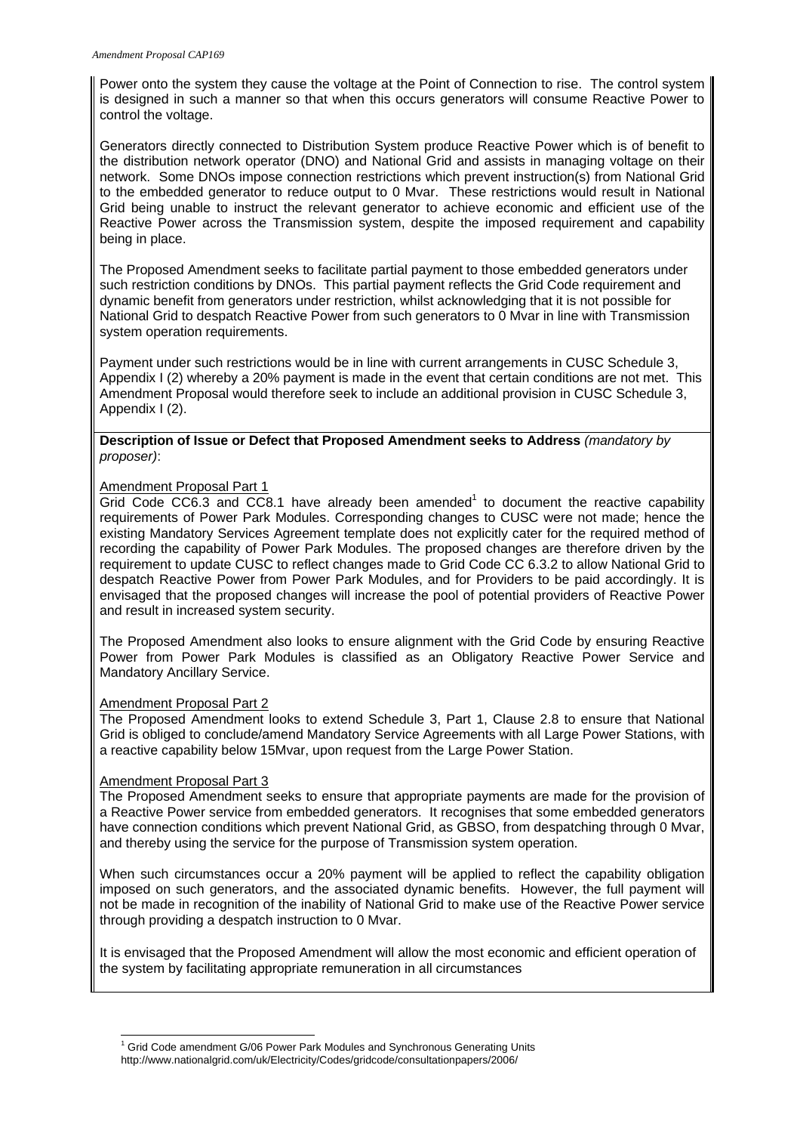Power onto the system they cause the voltage at the Point of Connection to rise. The control system is designed in such a manner so that when this occurs generators will consume Reactive Power to control the voltage.

Generators directly connected to Distribution System produce Reactive Power which is of benefit to the distribution network operator (DNO) and National Grid and assists in managing voltage on their network. Some DNOs impose connection restrictions which prevent instruction(s) from National Grid to the embedded generator to reduce output to 0 Mvar. These restrictions would result in National Grid being unable to instruct the relevant generator to achieve economic and efficient use of the Reactive Power across the Transmission system, despite the imposed requirement and capability being in place.

The Proposed Amendment seeks to facilitate partial payment to those embedded generators under such restriction conditions by DNOs. This partial payment reflects the Grid Code requirement and dynamic benefit from generators under restriction, whilst acknowledging that it is not possible for National Grid to despatch Reactive Power from such generators to 0 Mvar in line with Transmission system operation requirements.

Payment under such restrictions would be in line with current arrangements in CUSC Schedule 3, Appendix I (2) whereby a 20% payment is made in the event that certain conditions are not met. This Amendment Proposal would therefore seek to include an additional provision in CUSC Schedule 3, Appendix I (2).

#### **Description of Issue or Defect that Proposed Amendment seeks to Address** *(mandatory by proposer)*:

#### Amendment Proposal Part 1

Grid Code CC6.3 and CC8.1 have already been amended<sup>1</sup> to document the reactive capability requirements of Power Park Modules. Corresponding changes to CUSC were not made; hence the existing Mandatory Services Agreement template does not explicitly cater for the required method of recording the capability of Power Park Modules. The proposed changes are therefore driven by the requirement to update CUSC to reflect changes made to Grid Code CC 6.3.2 to allow National Grid to despatch Reactive Power from Power Park Modules, and for Providers to be paid accordingly. It is envisaged that the proposed changes will increase the pool of potential providers of Reactive Power and result in increased system security.

The Proposed Amendment also looks to ensure alignment with the Grid Code by ensuring Reactive Power from Power Park Modules is classified as an Obligatory Reactive Power Service and Mandatory Ancillary Service.

#### Amendment Proposal Part 2

The Proposed Amendment looks to extend Schedule 3, Part 1, Clause 2.8 to ensure that National Grid is obliged to conclude/amend Mandatory Service Agreements with all Large Power Stations, with a reactive capability below 15Mvar, upon request from the Large Power Station.

#### Amendment Proposal Part 3

The Proposed Amendment seeks to ensure that appropriate payments are made for the provision of a Reactive Power service from embedded generators. It recognises that some embedded generators have connection conditions which prevent National Grid, as GBSO, from despatching through 0 Mvar, and thereby using the service for the purpose of Transmission system operation.

When such circumstances occur a 20% payment will be applied to reflect the capability obligation imposed on such generators, and the associated dynamic benefits. However, the full payment will not be made in recognition of the inability of National Grid to make use of the Reactive Power service through providing a despatch instruction to 0 Mvar.

It is envisaged that the Proposed Amendment will allow the most economic and efficient operation of the system by facilitating appropriate remuneration in all circumstances

 1 Grid Code amendment G/06 Power Park Modules and Synchronous Generating Units

http://www.nationalgrid.com/uk/Electricity/Codes/gridcode/consultationpapers/2006/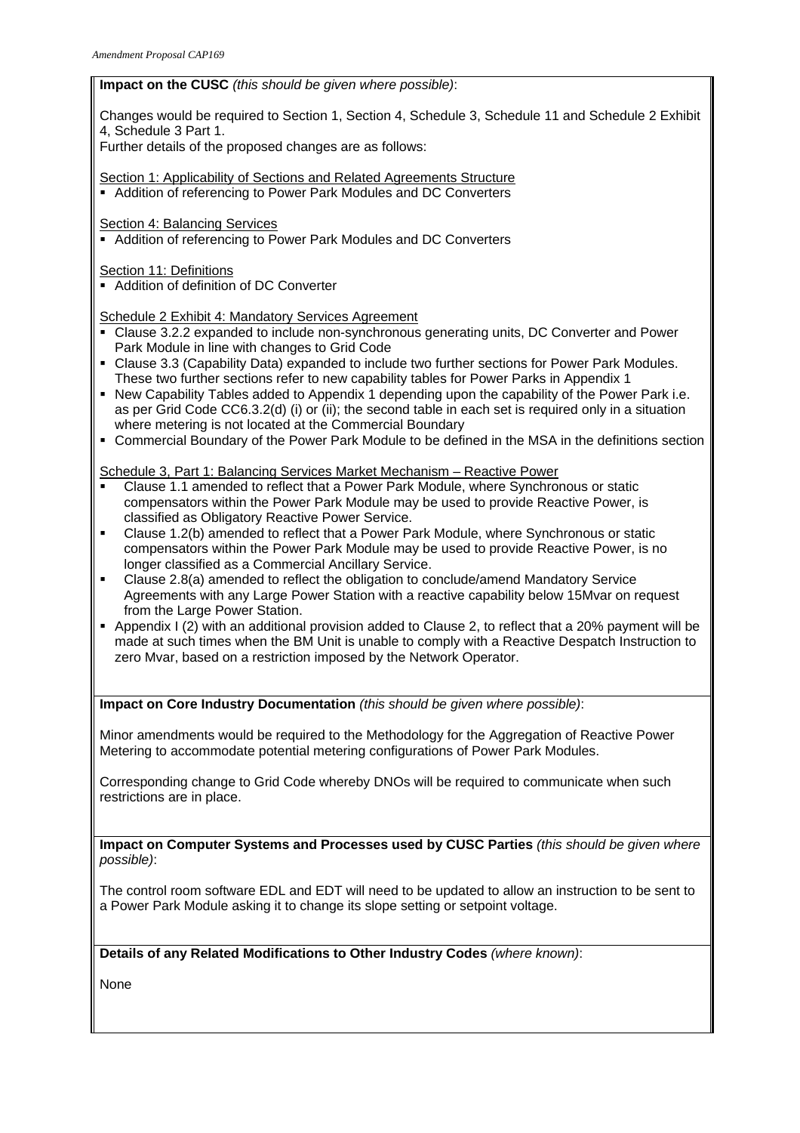# **Impact on the CUSC** *(this should be given where possible)*:

Changes would be required to Section 1, Section 4, Schedule 3, Schedule 11 and Schedule 2 Exhibit 4, Schedule 3 Part 1.

Further details of the proposed changes are as follows:

Section 1: Applicability of Sections and Related Agreements Structure

Addition of referencing to Power Park Modules and DC Converters

Section 4: Balancing Services

Addition of referencing to Power Park Modules and DC Converters

Section 11: Definitions

Addition of definition of DC Converter

Schedule 2 Exhibit 4: Mandatory Services Agreement

- Clause 3.2.2 expanded to include non-synchronous generating units, DC Converter and Power Park Module in line with changes to Grid Code
- Clause 3.3 (Capability Data) expanded to include two further sections for Power Park Modules. These two further sections refer to new capability tables for Power Parks in Appendix 1
- New Capability Tables added to Appendix 1 depending upon the capability of the Power Park i.e. as per Grid Code CC6.3.2(d) (i) or (ii); the second table in each set is required only in a situation where metering is not located at the Commercial Boundary
- Commercial Boundary of the Power Park Module to be defined in the MSA in the definitions section

Schedule 3, Part 1: Balancing Services Market Mechanism – Reactive Power

- Clause 1.1 amended to reflect that a Power Park Module, where Synchronous or static compensators within the Power Park Module may be used to provide Reactive Power, is classified as Obligatory Reactive Power Service.
- Clause 1.2(b) amended to reflect that a Power Park Module, where Synchronous or static compensators within the Power Park Module may be used to provide Reactive Power, is no longer classified as a Commercial Ancillary Service.
- Clause 2.8(a) amended to reflect the obligation to conclude/amend Mandatory Service Agreements with any Large Power Station with a reactive capability below 15Mvar on request from the Large Power Station.
- Appendix I (2) with an additional provision added to Clause 2, to reflect that a 20% payment will be made at such times when the BM Unit is unable to comply with a Reactive Despatch Instruction to zero Mvar, based on a restriction imposed by the Network Operator.

**Impact on Core Industry Documentation** *(this should be given where possible)*:

Minor amendments would be required to the Methodology for the Aggregation of Reactive Power Metering to accommodate potential metering configurations of Power Park Modules.

Corresponding change to Grid Code whereby DNOs will be required to communicate when such restrictions are in place.

**Impact on Computer Systems and Processes used by CUSC Parties** *(this should be given where possible)*:

The control room software EDL and EDT will need to be updated to allow an instruction to be sent to a Power Park Module asking it to change its slope setting or setpoint voltage.

# **Details of any Related Modifications to Other Industry Codes** *(where known)*:

None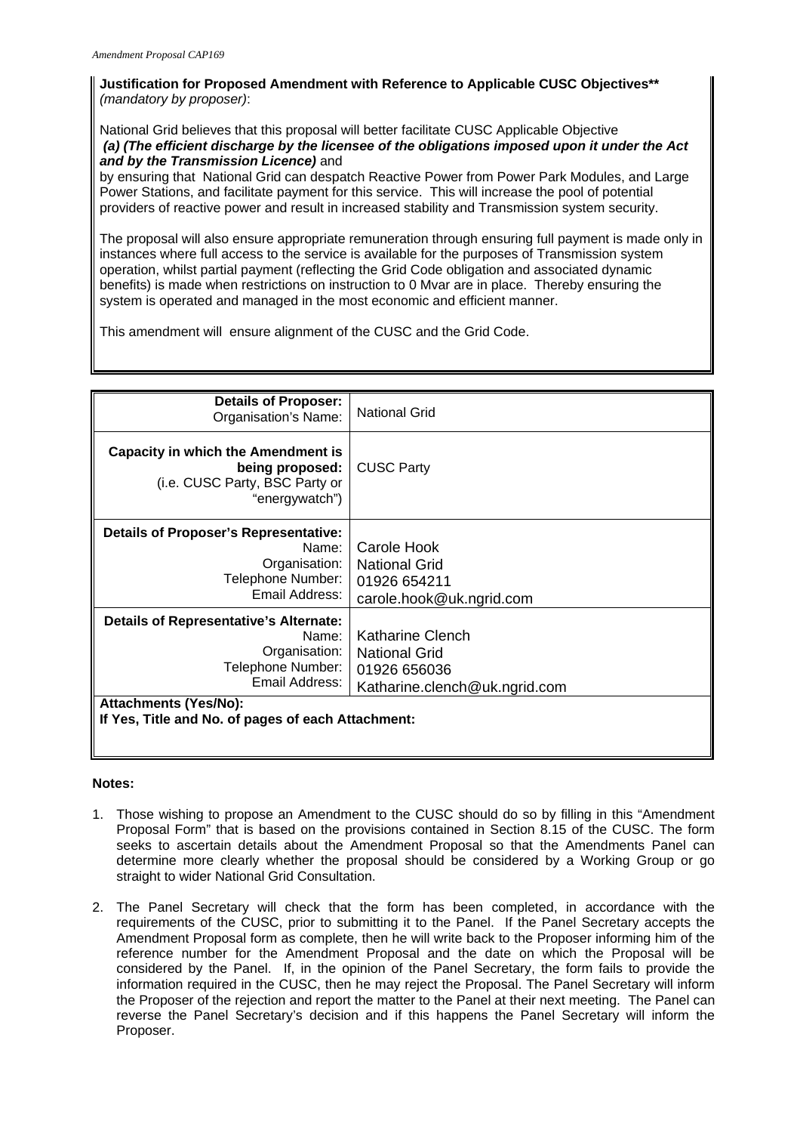# **Justification for Proposed Amendment with Reference to Applicable CUSC Objectives\*\***  *(mandatory by proposer)*:

National Grid believes that this proposal will better facilitate CUSC Applicable Objective *(a) (The efficient discharge by the licensee of the obligations imposed upon it under the Act and by the Transmission Licence)* and

by ensuring that National Grid can despatch Reactive Power from Power Park Modules, and Large Power Stations, and facilitate payment for this service. This will increase the pool of potential providers of reactive power and result in increased stability and Transmission system security.

The proposal will also ensure appropriate remuneration through ensuring full payment is made only in instances where full access to the service is available for the purposes of Transmission system operation, whilst partial payment (reflecting the Grid Code obligation and associated dynamic benefits) is made when restrictions on instruction to 0 Mvar are in place. Thereby ensuring the system is operated and managed in the most economic and efficient manner.

This amendment will ensure alignment of the CUSC and the Grid Code.

| <b>Details of Proposer:</b><br>Organisation's Name:                                                                                                                                                  | <b>National Grid</b>                                                                      |
|------------------------------------------------------------------------------------------------------------------------------------------------------------------------------------------------------|-------------------------------------------------------------------------------------------|
| <b>Capacity in which the Amendment is</b><br>being proposed:<br>(i.e. CUSC Party, BSC Party or<br>"energywatch")                                                                                     | <b>CUSC Party</b>                                                                         |
| <b>Details of Proposer's Representative:</b><br>Name:<br>Organisation:<br>Telephone Number:<br>Email Address:                                                                                        | Carole Hook<br><b>National Grid</b><br>01926 654211<br>carole.hook@uk.ngrid.com           |
| <b>Details of Representative's Alternate:</b><br>Name:<br>Organisation:<br>Telephone Number:<br>Email Address:<br><b>Attachments (Yes/No):</b><br>If Yes, Title and No. of pages of each Attachment: | Katharine Clench<br><b>National Grid</b><br>01926 656036<br>Katharine.clench@uk.ngrid.com |
|                                                                                                                                                                                                      |                                                                                           |

# **Notes:**

- 1. Those wishing to propose an Amendment to the CUSC should do so by filling in this "Amendment Proposal Form" that is based on the provisions contained in Section 8.15 of the CUSC. The form seeks to ascertain details about the Amendment Proposal so that the Amendments Panel can determine more clearly whether the proposal should be considered by a Working Group or go straight to wider National Grid Consultation.
- 2. The Panel Secretary will check that the form has been completed, in accordance with the requirements of the CUSC, prior to submitting it to the Panel. If the Panel Secretary accepts the Amendment Proposal form as complete, then he will write back to the Proposer informing him of the reference number for the Amendment Proposal and the date on which the Proposal will be considered by the Panel. If, in the opinion of the Panel Secretary, the form fails to provide the information required in the CUSC, then he may reject the Proposal. The Panel Secretary will inform the Proposer of the rejection and report the matter to the Panel at their next meeting. The Panel can reverse the Panel Secretary's decision and if this happens the Panel Secretary will inform the Proposer.